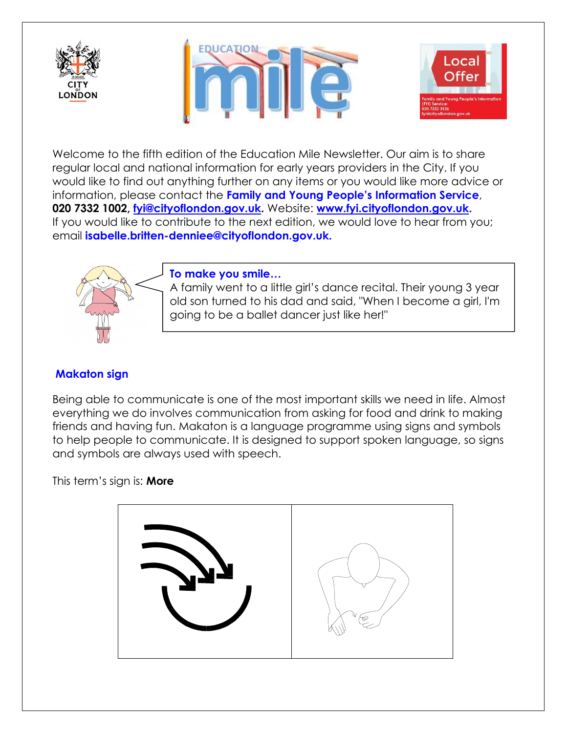





Welcome to the fifth edition of the Education Mile Newsletter. Our aim is to share regular local and national information for early years providers in the City. If you would like to find out anything further on any items or you would like more advice or information, please contact the **Family and Young People's Information Service**, **020 7332 1002, [fyi@cityoflondon.gov.uk.](mailto:fyi@cityoflondon.gov.uk)** Website: **[www.fyi.cityoflondon.gov.uk.](http://www.fyi.cityoflondon.gov.uk/)** If you would like to contribute to the next edition, we would love to hear from you; email **isabelle.britten-denniee@cityoflondon.gov.uk.**



## **To make you smile…**

A family went to a little girl's dance recital. Their young 3 year old son turned to his dad and said, "When I become a girl, I'm going to be a ballet dancer just like her!"

## **Makaton sign**

Being able to communicate is one of the most important skills we need in life. Almost everything we do involves communication from asking for food and drink to making friends and having fun. Makaton is a language programme using signs and symbols to help people to communicate. It is designed to support spoken language, so signs and symbols are always used with speech.

This term's sign is: **More**